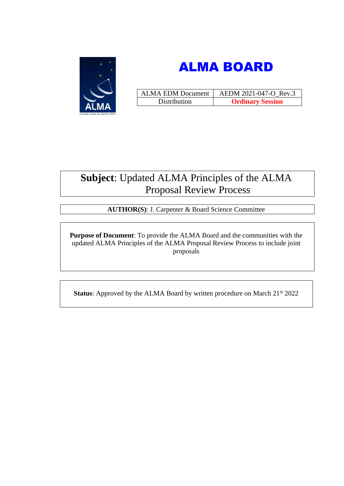



| <b>ALMA EDM Document</b> | AEDM 2021-047-O Rev.3   |
|--------------------------|-------------------------|
| Distribution             | <b>Ordinary Session</b> |

# **Subject**: Updated ALMA Principles of the ALMA Proposal Review Process

**AUTHOR(S)**: J. Carpenter & Board Science Committee

**Purpose of Document**: To provide the ALMA Board and the communities with the updated ALMA Principles of the ALMA Proposal Review Process to include joint proposals

**Status**: Approved by the ALMA Board by written procedure on March 21<sup>st</sup> 2022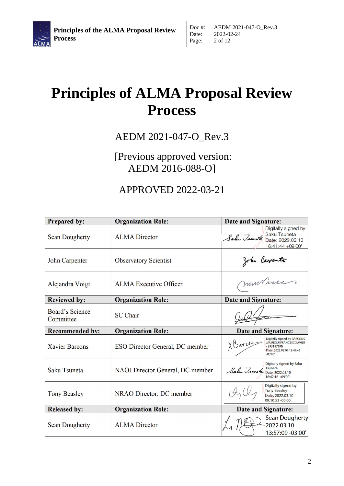

# **Principles of ALMA Proposal Review Process**

# AEDM 2021-047-O\_Rev.3

# [Previous approved version: AEDM 2016-088-O]

# APPROVED 2022-03-21

| <b>Prepared by:</b>                 | <b>Organization Role:</b>        | <b>Date and Signature:</b>                                                                                                        |
|-------------------------------------|----------------------------------|-----------------------------------------------------------------------------------------------------------------------------------|
| <b>Sean Dougherty</b>               | <b>ALMA</b> Director             | Digitally signed by<br>Sahu Jauneta Saku Tsuneta<br>Sahu Jauneta Date: 2022.03.10<br>16:41:44 +09'00'                             |
| John Carpenter                      | <b>Observatory Scientist</b>     | John Carpenter                                                                                                                    |
| Alejandra Voigt                     | <b>ALMA</b> Executive Officer    | murini                                                                                                                            |
| <b>Reviewed by:</b>                 | <b>Organization Role:</b>        | <b>Date and Signature:</b>                                                                                                        |
| <b>Board's Science</b><br>Committee | <b>SC</b> Chair                  |                                                                                                                                   |
| <b>Recommended by:</b>              | <b>Organization Role:</b>        | <b>Date and Signature:</b>                                                                                                        |
| <b>Xavier Barcons</b>               | ESO Director General, DC member  | Digitally signed by BARCONS<br>XBaww<br><b>JAUREGUI FRANCESC XAVIER</b><br>$-39318719N$<br>Date: 2022.03.09 18:49:45<br>$-03'00'$ |
| Saku Tsuneta                        | NAOJ Director General, DC member | Digitally signed by Saku<br>Sahu Jaunata Isuneta<br>16:42:16 +09'00'                                                              |
| <b>Tony Beasley</b>                 | NRAO Director, DC member         | Digitally signed by<br><b>Tony Beasley</b><br>Date: 2022.03.10<br>09:10:53 -05'00'                                                |
| <b>Released by:</b>                 | <b>Organization Role:</b>        | <b>Date and Signature:</b>                                                                                                        |
| <b>Sean Dougherty</b>               | <b>ALMA</b> Director             | <b>Sean Dougherty</b><br>2022.03.10<br>13:57:09 -03'00'                                                                           |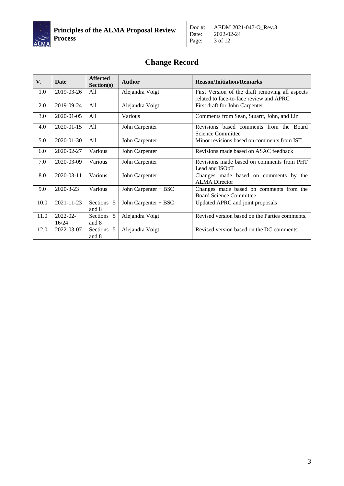

# **Change Record**

| V.   | Date              | <b>Affected</b><br>Section(s) | <b>Author</b>        | <b>Reason/Initiation/Remarks</b>                                                           |
|------|-------------------|-------------------------------|----------------------|--------------------------------------------------------------------------------------------|
| 1.0  | 2019-03-26        | All                           | Alejandra Voigt      | First Version of the draft removing all aspects<br>related to face-to-face review and APRC |
| 2.0  | 2019-09-24        | All                           | Alejandra Voigt      | First draft for John Carpenter                                                             |
| 3.0  | 2020-01-05        | All                           | Various              | Comments from Sean, Stuartt, John, and Liz                                                 |
| 4.0  | 2020-01-15        | All                           | John Carpenter       | Revisions based comments from the Board<br>Science Committee                               |
| 5.0  | 2020-01-30        | All                           | John Carpenter       | Minor revisions based on comments from IST                                                 |
| 6.0  | 2020-02-27        | Various                       | John Carpenter       | Revisions made based on ASAC feedback                                                      |
| 7.0  | 2020-03-09        | Various                       | John Carpenter       | Revisions made based on comments from PHT<br>Lead and ISOpT                                |
| 8.0  | 2020-03-11        | Various                       | John Carpenter       | Changes made based on comments by the<br><b>ALMA</b> Director                              |
| 9.0  | 2020-3-23         | Various                       | John Carpenter + BSC | Changes made based on comments from the<br><b>Board Science Committee</b>                  |
| 10.0 | 2021-11-23        | Sections 5<br>and 8           | John Carpenter + BSC | Updated APRC and joint proposals                                                           |
| 11.0 | 2022-02-<br>16/24 | Sections 5<br>and 8           | Alejandra Voigt      | Revised version based on the Parties comments.                                             |
| 12.0 | 2022-03-07        | Sections 5<br>and 8           | Alejandra Voigt      | Revised version based on the DC comments.                                                  |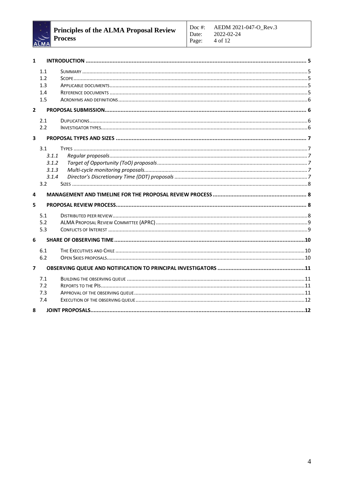

| $\mathbf{1}$            |       |  |
|-------------------------|-------|--|
|                         | 1.1   |  |
|                         | 1.2   |  |
|                         | 1.3   |  |
|                         | 1.4   |  |
|                         | 1.5   |  |
| $\overline{2}$          |       |  |
|                         | 2.1   |  |
|                         | 2.2   |  |
| 3                       |       |  |
|                         | 3.1   |  |
|                         | 3.1.1 |  |
|                         | 3.1.2 |  |
|                         | 3.1.3 |  |
|                         | 3.1.4 |  |
|                         | 3.2   |  |
| 4                       |       |  |
| 5                       |       |  |
|                         | 5.1   |  |
|                         | 5.2   |  |
|                         | 5.3   |  |
| 6                       |       |  |
|                         | 6.1   |  |
|                         | 6.2   |  |
| $\overline{\mathbf{z}}$ |       |  |
|                         | 7.1   |  |
|                         | 7.2   |  |
|                         | 7.3   |  |
|                         | 7.4   |  |
| 8                       |       |  |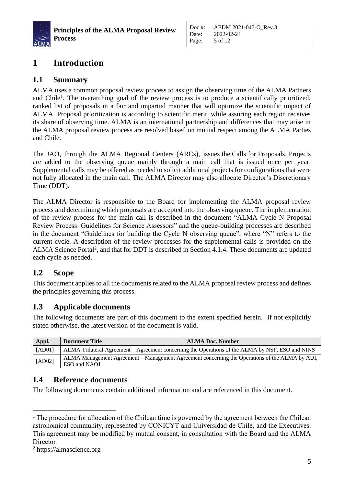

## <span id="page-4-0"></span>**1 Introduction**

#### <span id="page-4-1"></span>**1.1 Summary**

ALMA uses a common proposal review process to assign the observing time of the ALMA Partners and Chile<sup>1</sup>. The overarching goal of the review process is to produce a scientifically prioritized, ranked list of proposals in a fair and impartial manner that will optimize the scientific impact of ALMA. Proposal prioritization is according to scientific merit, while assuring each region receives its share of observing time. ALMA is an international partnership and differences that may arise in the ALMA proposal review process are resolved based on mutual respect among the ALMA Parties and Chile.

The JAO, through the ALMA Regional Centers (ARCs), issues the Calls for Proposals. Projects are added to the observing queue mainly through a main call that is issued once per year. Supplemental calls may be offered as needed to solicit additional projects for configurations that were not fully allocated in the main call. The ALMA Director may also allocate Director's Discretionary Time (DDT).

The ALMA Director is responsible to the Board for implementing the ALMA proposal review process and determining which proposals are accepted into the observing queue. The implementation of the review process for the main call is described in the document "ALMA Cycle N Proposal Review Process: Guidelines for Science Assessors" and the queue-building processes are described in the document "Guidelines for building the Cycle N observing queue", where "N" refers to the current cycle. A description of the review processes for the supplemental calls is provided on the ALMA Science Portal<sup>2</sup>, and that for DDT is described in Section 4.1.4. These documents are updated each cycle as needed.

#### <span id="page-4-2"></span>**1.2 Scope**

This document applies to all the documents related to the ALMA proposal review process and defines the principles governing this process.

#### <span id="page-4-3"></span>**1.3 Applicable documents**

The following documents are part of this document to the extent specified herein. If not explicitly stated otherwise, the latest version of the document is valid.

| Appl.  | Document Title                                                                                                 | <b>ALMA Doc. Number</b> |
|--------|----------------------------------------------------------------------------------------------------------------|-------------------------|
| [AD01] | ALMA Trilateral Agreement – Agreement concerning the Operations of the ALMA by NSF, ESO and NINS               |                         |
| [AD02] | ALMA Management Agreement – Management Agreement concerning the Operations of the ALMA by AUI,<br>ESO and NAOJ |                         |

#### <span id="page-4-4"></span>**1.4 Reference documents**

The following documents contain additional information and are referenced in this document.

<sup>&</sup>lt;sup>1</sup> The procedure for allocation of the Chilean time is governed by the agreement between the Chilean astronomical community, represented by CONICYT and Universidad de Chile, and the Executives. This agreement may be modified by mutual consent, in consultation with the Board and the ALMA Director.

<sup>2</sup> https://almascience.org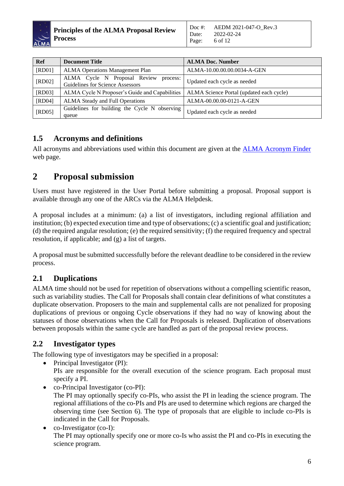

| <b>Ref</b> | <b>Document Title</b>                                                        | <b>ALMA Doc. Number</b>                  |  |
|------------|------------------------------------------------------------------------------|------------------------------------------|--|
| [RD01]     | <b>ALMA Operations Management Plan</b>                                       | ALMA-10.00.00.00.0034-A-GEN              |  |
| [RD02]     | ALMA Cycle N Proposal Review<br>process:<br>Guidelines for Science Assessors | Updated each cycle as needed             |  |
| [RD03]     | ALMA Cycle N Proposer's Guide and Capabilities                               | ALMA Science Portal (updated each cycle) |  |
| [RD04]     | ALMA Steady and Full Operations                                              | ALMA-00.00.00-0121-A-GEN                 |  |
| [RD05]     | Guidelines for building the Cycle N observing                                | Updated each cycle as needed             |  |
|            | queue                                                                        |                                          |  |

#### <span id="page-5-0"></span>**1.5 Acronyms and definitions**

All acronyms and abbreviations used within this document are given at the [ALMA Acronym Finder](https://adewiki.alma.cl/bin/view/Main/AcronymFinder) web page.

# <span id="page-5-1"></span>**2 Proposal submission**

Users must have registered in the User Portal before submitting a proposal. Proposal support is available through any one of the ARCs via the ALMA Helpdesk.

A proposal includes at a minimum: (a) a list of investigators, including regional affiliation and institution; (b) expected execution time and type of observations; (c) a scientific goal and justification; (d) the required angular resolution; (e) the required sensitivity; (f) the required frequency and spectral resolution, if applicable; and (g) a list of targets.

A proposal must be submitted successfully before the relevant deadline to be considered in the review process.

### <span id="page-5-2"></span>**2.1 Duplications**

ALMA time should not be used for repetition of observations without a compelling scientific reason, such as variability studies. The Call for Proposals shall contain clear definitions of what constitutes a duplicate observation. Proposers to the main and supplemental calls are not penalized for proposing duplications of previous or ongoing Cycle observations if they had no way of knowing about the statuses of those observations when the Call for Proposals is released. Duplication of observations between proposals within the same cycle are handled as part of the proposal review process.

#### <span id="page-5-3"></span>**2.2 Investigator types**

The following type of investigators may be specified in a proposal:

- Principal Investigator (PI): PIs are responsible for the overall execution of the science program. Each proposal must specify a PI.
- co-Principal Investigator (co-PI): The PI may optionally specify co-PIs, who assist the PI in leading the science program. The regional affiliations of the co-PIs and PIs are used to determine which regions are charged the observing time (see Section 6). The type of proposals that are eligible to include co-PIs is indicated in the Call for Proposals.
- co-Investigator (co-I): The PI may optionally specify one or more co-Is who assist the PI and co-PIs in executing the science program.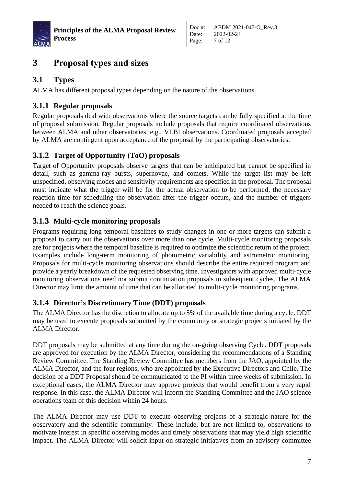

# <span id="page-6-0"></span>**3 Proposal types and sizes**

### <span id="page-6-1"></span>**3.1 Types**

ALMA has different proposal types depending on the nature of the observations.

#### <span id="page-6-2"></span>**3.1.1 Regular proposals**

Regular proposals deal with observations where the source targets can be fully specified at the time of proposal submission. Regular proposals include proposals that require coordinated observations between ALMA and other observatories, e.g., VLBI observations. Coordinated proposals accepted by ALMA are contingent upon acceptance of the proposal by the participating observatories.

#### <span id="page-6-3"></span>**3.1.2 Target of Opportunity (ToO) proposals**

Target of Opportunity proposals observe targets that can be anticipated but cannot be specified in detail, such as gamma-ray bursts, supernovae, and comets. While the target list may be left unspecified, observing modes and sensitivity requirements are specified in the proposal. The proposal must indicate what the trigger will be for the actual observation to be performed, the necessary reaction time for scheduling the observation after the trigger occurs, and the number of triggers needed to reach the science goals.

#### <span id="page-6-4"></span>**3.1.3 Multi-cycle monitoring proposals**

Programs requiring long temporal baselines to study changes in one or more targets can submit a proposal to carry out the observations over more than one cycle. Multi-cycle monitoring proposals are for projects where the temporal baseline is required to optimize the scientific return of the project. Examples include long-term monitoring of photometric variability and astrometric monitoring. Proposals for multi-cycle monitoring observations should describe the entire required program and provide a yearly breakdown of the requested observing time. Investigators with approved multi-cycle monitoring observations need not submit continuation proposals in subsequent cycles. The ALMA Director may limit the amount of time that can be allocated to multi-cycle monitoring programs.

#### <span id="page-6-5"></span>**3.1.4 Director's Discretionary Time (DDT) proposals**

The ALMA Director has the discretion to allocate up to 5% of the available time during a cycle. DDT may be used to execute proposals submitted by the community or strategic projects initiated by the ALMA Director.

DDT proposals may be submitted at any time during the on-going observing Cycle. DDT proposals are approved for execution by the ALMA Director, considering the recommendations of a Standing Review Committee. The Standing Review Committee has members from the JAO, appointed by the ALMA Director, and the four regions, who are appointed by the Executive Directors and Chile. The decision of a DDT Proposal should be communicated to the PI within three weeks of submission. In exceptional cases, the ALMA Director may approve projects that would benefit from a very rapid response. In this case, the ALMA Director will inform the Standing Committee and the JAO science operations team of this decision within 24 hours.

The ALMA Director may use DDT to execute observing projects of a strategic nature for the observatory and the scientific community. These include, but are not limited to, observations to motivate interest in specific observing modes and timely observations that may yield high scientific impact. The ALMA Director will solicit input on strategic initiatives from an advisory committee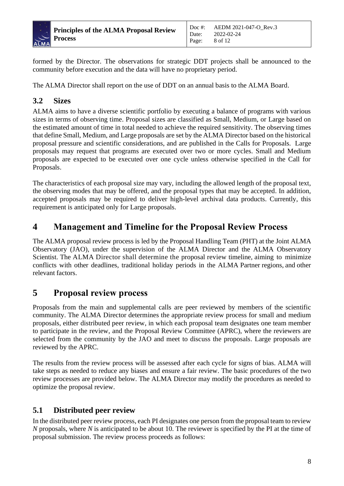

formed by the Director. The observations for strategic DDT projects shall be announced to the community before execution and the data will have no proprietary period.

Date: Page:

The ALMA Director shall report on the use of DDT on an annual basis to the ALMA Board.

#### <span id="page-7-0"></span>**3.2 Sizes**

ALMA aims to have a diverse scientific portfolio by executing a balance of programs with various sizes in terms of observing time. Proposal sizes are classified as Small, Medium, or Large based on the estimated amount of time in total needed to achieve the required sensitivity. The observing times that define Small, Medium, and Large proposals are set by the ALMA Director based on the historical proposal pressure and scientific considerations, and are published in the Calls for Proposals. Large proposals may request that programs are executed over two or more cycles. Small and Medium proposals are expected to be executed over one cycle unless otherwise specified in the Call for Proposals.

The characteristics of each proposal size may vary, including the allowed length of the proposal text, the observing modes that may be offered, and the proposal types that may be accepted. In addition, accepted proposals may be required to deliver high-level archival data products. Currently, this requirement is anticipated only for Large proposals.

### <span id="page-7-1"></span>**4 Management and Timeline for the Proposal Review Process**

The ALMA proposal review process is led by the Proposal Handling Team (PHT) at the Joint ALMA Observatory (JAO), under the supervision of the ALMA Director and the ALMA Observatory Scientist. The ALMA Director shall determine the proposal review timeline, aiming to minimize conflicts with other deadlines, traditional holiday periods in the ALMA Partner regions, and other relevant factors.

### <span id="page-7-2"></span>**5 Proposal review process**

Proposals from the main and supplemental calls are peer reviewed by members of the scientific community. The ALMA Director determines the appropriate review process for small and medium proposals, either distributed peer review, in which each proposal team designates one team member to participate in the review, and the Proposal Review Committee (APRC), where the reviewers are selected from the community by the JAO and meet to discuss the proposals. Large proposals are reviewed by the APRC.

The results from the review process will be assessed after each cycle for signs of bias. ALMA will take steps as needed to reduce any biases and ensure a fair review. The basic procedures of the two review processes are provided below. The ALMA Director may modify the procedures as needed to optimize the proposal review.

#### <span id="page-7-3"></span>**5.1 Distributed peer review**

In the distributed peer review process, each PI designates one person from the proposal team to review *N* proposals, where *N* is anticipated to be about 10. The reviewer is specified by the PI at the time of proposal submission. The review process proceeds as follows: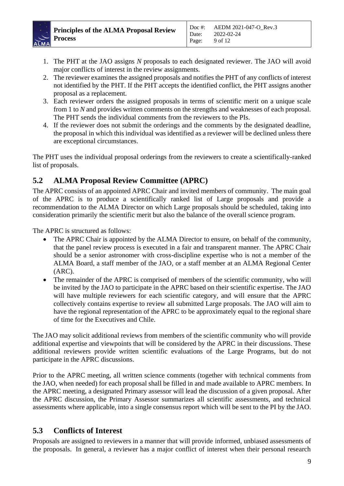

- 1. The PHT at the JAO assigns *N* proposals to each designated reviewer. The JAO will avoid major conflicts of interest in the review assignments.
- 2. The reviewer examines the assigned proposals and notifies the PHT of any conflicts of interest not identified by the PHT. If the PHT accepts the identified conflict, the PHT assigns another proposal as a replacement.
- 3. Each reviewer orders the assigned proposals in terms of scientific merit on a unique scale from 1 to *N* and provides written comments on the strengths and weaknesses of each proposal. The PHT sends the individual comments from the reviewers to the PIs.
- 4. If the reviewer does not submit the orderings and the comments by the designated deadline, the proposal in which this individual was identified as a reviewer will be declined unless there are exceptional circumstances.

The PHT uses the individual proposal orderings from the reviewers to create a scientifically-ranked list of proposals.

#### <span id="page-8-0"></span>**5.2 ALMA Proposal Review Committee (APRC)**

The APRC consists of an appointed APRC Chair and invited members of community. The main goal of the APRC is to produce a scientifically ranked list of Large proposals and provide a recommendation to the ALMA Director on which Large proposals should be scheduled, taking into consideration primarily the scientific merit but also the balance of the overall science program.

The APRC is structured as follows:

- The APRC Chair is appointed by the ALMA Director to ensure, on behalf of the community, that the panel review process is executed in a fair and transparent manner. The APRC Chair should be a senior astronomer with cross-discipline expertise who is not a member of the ALMA Board, a staff member of the JAO, or a staff member at an ALMA Regional Center (ARC).
- The remainder of the APRC is comprised of members of the scientific community, who will be invited by the JAO to participate in the APRC based on their scientific expertise. The JAO will have multiple reviewers for each scientific category, and will ensure that the APRC collectively contains expertise to review all submitted Large proposals. The JAO will aim to have the regional representation of the APRC to be approximately equal to the regional share of time for the Executives and Chile.

The JAO may solicit additional reviews from members of the scientific community who will provide additional expertise and viewpoints that will be considered by the APRC in their discussions. These additional reviewers provide written scientific evaluations of the Large Programs, but do not participate in the APRC discussions.

Prior to the APRC meeting, all written science comments (together with technical comments from the JAO, when needed) for each proposal shall be filled in and made available to APRC members. In the APRC meeting, a designated Primary assessor will lead the discussion of a given proposal. After the APRC discussion, the Primary Assessor summarizes all scientific assessments, and technical assessments where applicable, into a single consensus report which will be sent to the PI by the JAO.

#### <span id="page-8-1"></span>**5.3 Conflicts of Interest**

Proposals are assigned to reviewers in a manner that will provide informed, unbiased assessments of the proposals. In general, a reviewer has a major conflict of interest when their personal research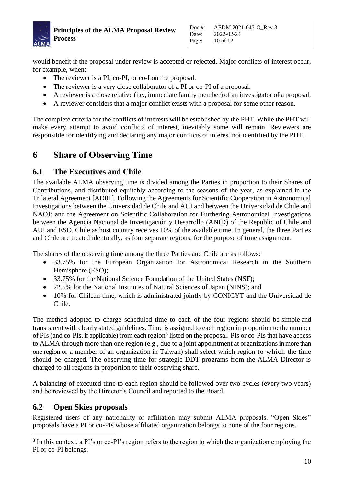

would benefit if the proposal under review is accepted or rejected. Major conflicts of interest occur, for example, when:

Date: Page:

- The reviewer is a PI, co-PI, or co-I on the proposal.
- The reviewer is a very close collaborator of a PI or co-PI of a proposal.
- A reviewer is a close relative (i.e., immediate family member) of an investigator of a proposal.
- A reviewer considers that a major conflict exists with a proposal for some other reason.

The complete criteria for the conflicts of interests will be established by the PHT. While the PHT will make every attempt to avoid conflicts of interest, inevitably some will remain. Reviewers are responsible for identifying and declaring any major conflicts of interest not identified by the PHT.

### <span id="page-9-0"></span>**6 Share of Observing Time**

#### <span id="page-9-1"></span>**6.1 The Executives and Chile**

The available ALMA observing time is divided among the Parties in proportion to their Shares of Contributions, and distributed equitably according to the seasons of the year, as explained in the Trilateral Agreement [AD01]. Following the Agreements for Scientific Cooperation in Astronomical Investigations between the Universidad de Chile and AUI and between the Universidad de Chile and NAOJ; and the Agreement on Scientific Collaboration for Furthering Astronomical Investigations between the Agencia Nacional de Investigación y Desarrollo (ANID) of the Republic of Chile and AUI and ESO, Chile as host country receives 10% of the available time. In general, the three Parties and Chile are treated identically, as four separate regions, for the purpose of time assignment.

The shares of the observing time among the three Parties and Chile are as follows:

- 33.75% for the European Organization for Astronomical Research in the Southern Hemisphere (ESO);
- 33.75% for the National Science Foundation of the United States (NSF);
- 22.5% for the National Institutes of Natural Sciences of Japan (NINS); and
- 10% for Chilean time, which is administrated jointly by CONICYT and the Universidad de Chile.

The method adopted to charge scheduled time to each of the four regions should be simple and transparent with clearly stated guidelines. Time is assigned to each region in proportion to the number of PIs (and co-PIs, if applicable) from each region<sup>3</sup> listed on the proposal. PIs or co-PIs that have access to ALMA through more than one region (e.g., due to a joint appointment at organizations in more than one region or a member of an organization in Taiwan) shall select which region to which the time should be charged. The observing time for strategic DDT programs from the ALMA Director is charged to all regions in proportion to their observing share.

A balancing of executed time to each region should be followed over two cycles (every two years) and be reviewed by the Director's Council and reported to the Board.

#### <span id="page-9-2"></span>**6.2 Open Skies proposals**

Registered users of any nationality or affiliation may submit ALMA proposals. "Open Skies" proposals have a PI or co-PIs whose affiliated organization belongs to none of the four regions.

<sup>&</sup>lt;sup>3</sup> In this context, a PI's or co-PI's region refers to the region to which the organization employing the PI or co-PI belongs.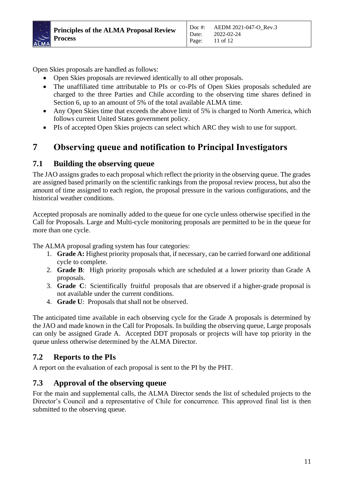

Open Skies proposals are handled as follows:

- Open Skies proposals are reviewed identically to all other proposals.
- The unaffiliated time attributable to PIs or co-PIs of Open Skies proposals scheduled are charged to the three Parties and Chile according to the observing time shares defined in Section 6, up to an amount of 5% of the total available ALMA time.
- Any Open Skies time that exceeds the above limit of 5% is charged to North America, which follows current United States government policy.
- PIs of accepted Open Skies projects can select which ARC they wish to use for support.

# <span id="page-10-0"></span>**7 Observing queue and notification to Principal Investigators**

#### <span id="page-10-1"></span>**7.1 Building the observing queue**

The JAO assigns grades to each proposal which reflect the priority in the observing queue. The grades are assigned based primarily on the scientific rankings from the proposal review process, but also the amount of time assigned to each region, the proposal pressure in the various configurations, and the historical weather conditions.

Accepted proposals are nominally added to the queue for one cycle unless otherwise specified in the Call for Proposals. Large and Multi-cycle monitoring proposals are permitted to be in the queue for more than one cycle.

The ALMA proposal grading system has four categories:

- 1. **Grade A:** Highest priority proposals that, if necessary, can be carried forward one additional cycle to complete.
- 2. **Grade B**: High priority proposals which are scheduled at a lower priority than Grade A proposals.
- 3. **Grade C**: Scientifically fruitful proposals that are observed if a higher-grade proposal is not available under the current conditions.
- 4. **Grade U**: Proposals that shall not be observed.

The anticipated time available in each observing cycle for the Grade A proposals is determined by the JAO and made known in the Call for Proposals. In building the observing queue, Large proposals can only be assigned Grade A. Accepted DDT proposals or projects will have top priority in the queue unless otherwise determined by the ALMA Director.

#### <span id="page-10-2"></span>**7.2 Reports to the PIs**

A report on the evaluation of each proposal is sent to the PI by the PHT.

#### <span id="page-10-3"></span>**7.3 Approval of the observing queue**

For the main and supplemental calls, the ALMA Director sends the list of scheduled projects to the Director's Council and a representative of Chile for concurrence. This approved final list is then submitted to the observing queue.